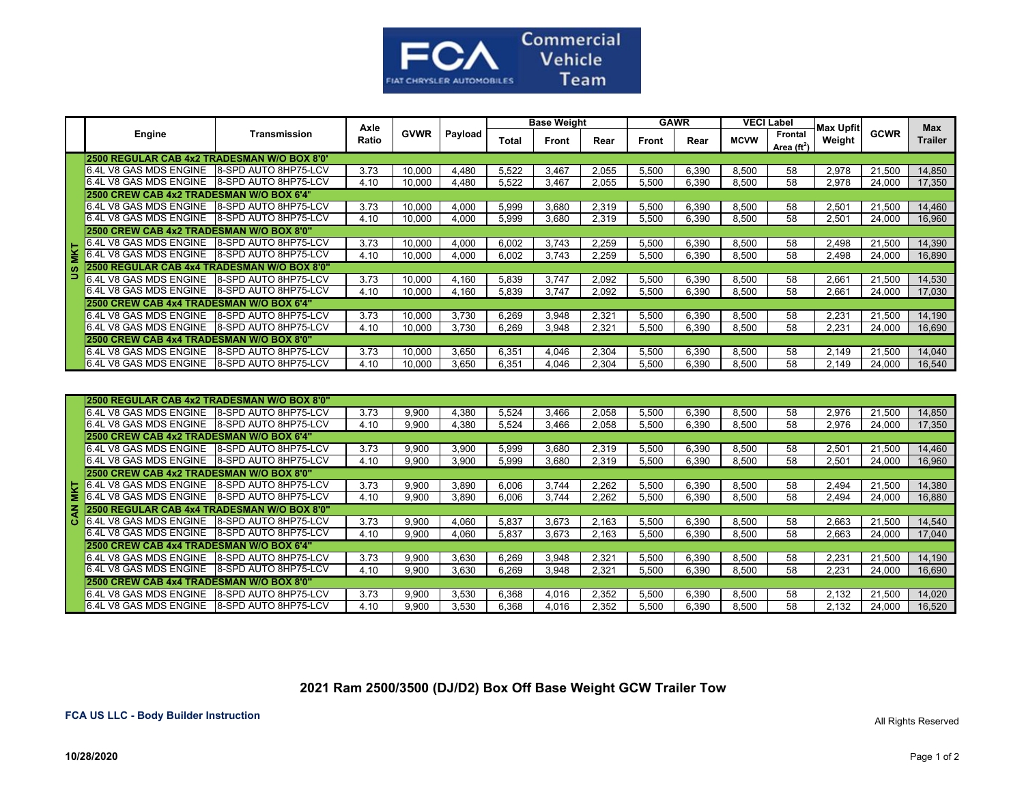

|            |                                              |                             | Axle  |             |         | <b>Base Weight</b> |       |       | <b>GAWR</b> |       | <b>VECI Label</b> |                          | <b>Max Upfit</b> |             | <b>Max</b>     |
|------------|----------------------------------------------|-----------------------------|-------|-------------|---------|--------------------|-------|-------|-------------|-------|-------------------|--------------------------|------------------|-------------|----------------|
|            | Engine                                       | Transmission                | Ratio | <b>GVWR</b> | Payload | Total              | Front | Rear  | Front       | Rear  | <b>MCVW</b>       | Frontal<br>Area $(ft^2)$ | Weight           | <b>GCWR</b> | <b>Trailer</b> |
|            | 2500 REGULAR CAB 4x2 TRADESMAN W/O BOX 8'0"  |                             |       |             |         |                    |       |       |             |       |                   |                          |                  |             |                |
|            | 6.4L V8 GAS MDS ENGINE 8-SPD AUTO 8HP75-LCV  |                             | 3.73  | 10.000      | 4.480   | 5,522              | 3.467 | 2,055 | 5.500       | 6.390 | 8,500             | 58                       | 2,978            | 21,500      | 14,850         |
|            | 6.4L V8 GAS MDS ENGINE 8-SPD AUTO 8HP75-LCV  |                             | 4.10  | 10.000      | 4.480   | 5.522              | 3.467 | 2.055 | 5.500       | 6.390 | 8.500             | 58                       | 2.978            | 24.000      | 17,350         |
|            | 2500 CREW CAB 4x2 TRADESMAN W/O BOX 6'4'     |                             |       |             |         |                    |       |       |             |       |                   |                          |                  |             |                |
|            | 6.4L V8 GAS MDS ENGINE                       | <b>8-SPD AUTO 8HP75-LCV</b> | 3.73  | 10,000      | 4.000   | 5,999              | 3.680 | 2.319 | 5.500       | 6,390 | 8,500             | 58                       | 2,501            | 21.500      | 14,460         |
|            | 6.4L V8 GAS MDS ENGINE 8-SPD AUTO 8HP75-LCV  |                             | 4.10  | 10.000      | 4.000   | 5.999              | 3.680 | 2.319 | 5.500       | 6.390 | 8.500             | 58                       | 2.501            | 24.000      | 16,960         |
|            | 2500 CREW CAB 4x2 TRADESMAN W/O BOX 8'0"     |                             |       |             |         |                    |       |       |             |       |                   |                          |                  |             |                |
|            | 6.4L V8 GAS MDS ENGINE                       | 8-SPD AUTO 8HP75-LCV        | 3.73  | 10,000      | 4.000   | 6.002              | 3.743 | 2,259 | 5,500       | 6,390 | 8,500             | 58                       | 2,498            | 21,500      | 14,390         |
| <b>MKT</b> | V8 GAS MDS ENGINE                            | 8-SPD AUTO 8HP75-LCV        | 4.10  | 10.000      | 4.000   | 6.002              | 3.743 | 2.259 | 5.500       | 6.390 | 8.500             | 58                       | 2.498            | 24.000      | 16,890         |
| S          | 2500 REGULAR CAB 4x4 TRADESMAN W/O BOX 8'0"  |                             |       |             |         |                    |       |       |             |       |                   |                          |                  |             |                |
|            | 6.4L V8 GAS MDS ENGINE 18-SPD AUTO 8HP75-LCV |                             | 3.73  | 10.000      | 4.160   | 5,839              | 3.747 | 2,092 | 5,500       | 6,390 | 8,500             | 58                       | 2,661            | 21,500      | 14,530         |
|            | 6.4L V8 GAS MDS ENGINE 18-SPD AUTO 8HP75-LCV |                             | 4.10  | 10.000      | 4.160   | 5.839              | 3.747 | 2.092 | 5.500       | 6.390 | 8.500             | 58                       | 2.661            | 24.000      | 17.030         |
|            | 2500 CREW CAB 4x4 TRADESMAN W/O BOX 6'4"     |                             |       |             |         |                    |       |       |             |       |                   |                          |                  |             |                |
|            | 6.4L V8 GAS MDS ENGINE 18-SPD AUTO 8HP75-LCV |                             | 3.73  | 10.000      | 3.730   | 6.269              | 3.948 | 2.321 | 5.500       | 6.390 | 8.500             | 58                       | 2.23'            | 21.500      | 14,190         |
|            | 6.4L V8 GAS MDS ENGINE 8-SPD AUTO 8HP75-LCV  |                             | 4.10  | 10.000      | 3.730   | 6.269              | 3.948 | 2.321 | 5.500       | 6.390 | 8.500             | 58                       | 2.231            | 24.000      | 16.690         |
|            | 2500 CREW CAB 4x4 TRADESMAN W/O BOX 8'0"     |                             |       |             |         |                    |       |       |             |       |                   |                          |                  |             |                |
|            | 6.4L V8 GAS MDS ENGINE 18-SPD AUTO 8HP75-LCV |                             | 3.73  | 10.000      | 3.650   | 6.351              | 4.046 | 2.304 | 5.500       | 6.390 | 8.500             | 58                       | 2.149            | 21.500      | 14.040         |
|            | 6.4L V8 GAS MDS ENGINE 18-SPD AUTO 8HP75-LCV |                             | 4.10  | 10,000      | 3.650   | 6,351              | 4.046 | 2,304 | 5,500       | 6,390 | 8,500             | 58                       | 2.149            | 24.000      | 16,540         |

|   | 2500 REGULAR CAB 4x2 TRADESMAN W/O BOX 8'0"                         |  |      |       |       |       |       |       |       |       |       |    |       |        |        |
|---|---------------------------------------------------------------------|--|------|-------|-------|-------|-------|-------|-------|-------|-------|----|-------|--------|--------|
|   |                                                                     |  | 3.73 | 9.900 | 4.380 | 5.524 | 3.466 | 2.058 | 5.500 | 6.390 | 8.500 | 58 | 2.976 | 21.500 | 14,850 |
|   | 6.4L V8 GAS MDS ENGINE 8-SPD AUTO 8HP75-LCV                         |  | 4.10 | 9.900 | 4.380 | 5.524 | 3,466 | 2.058 | 5.500 | 6,390 | 8,500 | 58 | 2.976 | 24.000 | 17,350 |
|   | 2500 CREW CAB 4x2 TRADESMAN W/O BOX 6'4"                            |  |      |       |       |       |       |       |       |       |       |    |       |        |        |
|   |                                                                     |  | 3.73 | 9,900 | 3,900 | 5,999 | 3.680 | 2,319 | 5.500 | 6,390 | 8,500 | 58 | 2,501 | 21,500 | 14,460 |
|   | 6.4L V8 GAS MDS ENGINE 8-SPD AUTO 8HP75-LCV                         |  | 4.10 | 9.900 | 3.900 | 5,999 | 3.680 | 2,319 | 5,500 | 6,390 | 8,500 | 58 | 2,501 | 24,000 | 16,960 |
|   | 2500 CREW CAB 4x2 TRADESMAN W/O BOX 8'0"                            |  |      |       |       |       |       |       |       |       |       |    |       |        |        |
|   | 8-SPD AUTO 8HP75-LCV<br>6.4L V8 GAS MDS ENGINE 8-SPD AUTO 8HP75-LCV |  | 3.73 | 9.900 | 3.890 | 6.006 | 3.744 | 2.262 | 5.500 | 6.390 | 8.500 | 58 | 2.494 | 21.500 | 14,380 |
|   |                                                                     |  | 4.10 | 9.900 | 3.890 | 6,006 | 3.744 | 2,262 | 5,500 | 6,390 | 8,500 | 58 | 2.494 | 24,000 | 16,880 |
| ₹ | 2500 REGULAR CAB 4x4 TRADESMAN W/O BOX 8'0"                         |  |      |       |       |       |       |       |       |       |       |    |       |        |        |
| ය | 6.4L V8 GAS MDS ENGINE 8-SPD AUTO 8HP75-LCV                         |  | 3.73 | 9.900 | 4.060 | 5.837 | 3.673 | 2.163 | 5.500 | 6.390 | 8.500 | 58 | 2.663 | 21.500 | 14,540 |
|   | 6.4L V8 GAS MDS ENGINE 18-SPD AUTO 8HP75-LCV                        |  | 4.10 | 9.900 | 4.060 | 5.837 | 3.673 | 2.163 | 5.500 | 6.390 | 8.500 | 58 | 2.663 | 24,000 | 17,040 |
|   | 2500 CREW CAB 4x4 TRADESMAN W/O BOX 6'4"                            |  |      |       |       |       |       |       |       |       |       |    |       |        |        |
|   | 6.4L V8 GAS MDS ENGINE 8-SPD AUTO 8HP75-LCV                         |  | 3.73 | 9.900 | 3.630 | 6.269 | 3.948 | 2.321 | 5.500 | 6.390 | 8.500 | 58 | 2.231 | 21.500 | 14,190 |
|   |                                                                     |  | 4.10 | 9.900 | 3.630 | 6.269 | 3.948 | 2.321 | 5.500 | 6.390 | 8,500 | 58 | 2.231 | 24.000 | 16,690 |
|   | 2500 CREW CAB 4x4 TRADESMAN W/O BOX 8'0"                            |  |      |       |       |       |       |       |       |       |       |    |       |        |        |
|   |                                                                     |  | 3.73 | 9.900 | 3.530 | 6.368 | 4.016 | 2.352 | 5.500 | 6.390 | 8.500 | 58 | 2.132 | 21.500 | 14,020 |
|   | 6.4L V8 GAS MDS ENGINE 18-SPD AUTO 8HP75-LCV                        |  | 4.10 | 9.900 | 3.530 | 6.368 | 4.016 | 2.352 | 5.500 | 6.390 | 8.500 | 58 | 2.132 | 24.000 | 16,520 |

## **2021 Ram 2500/3500 (DJ/D2) Box Off Base Weight GCW Trailer Tow**

## **FCA US LLC - Body Builder Instruction**

All Rights Reserved